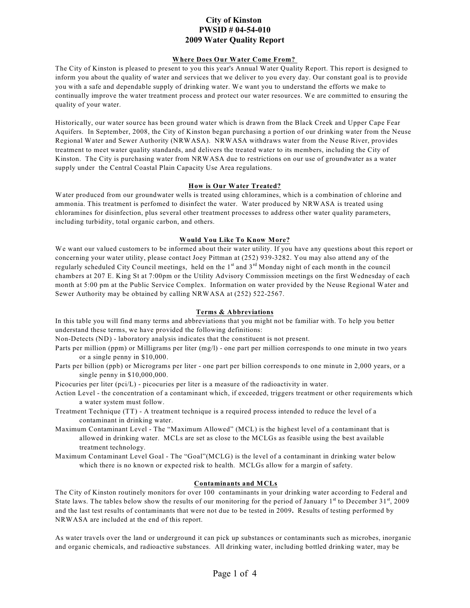# **City of Kinston PWSID # 04-54-010 2009 Water Quality Report**

# **Where Does Our Water Come From?**

The City of Kinston is pleased to present to you this year's Annual Water Quality Report. This report is designed to inform you about the quality of water and services that we deliver to you every day. Our constant goal is to provide you with a safe and dependable supply of drinking water. We want you to understand the efforts we make to continually improve the water treatment process and protect our water resources. We are committed to ensuring the quality of your water.

Historically, our water source has been ground water which is drawn from the Black Creek and Upper Cape Fear Aquifers. In September, 2008, the City of Kinston began purchasing a portion of our drinking water from the Neuse Regional Water and Sewer Authority (NRWASA). NRWASA withdraws water from the Neuse River, provides treatment to meet water quality standards, and delivers the treated water to its members, including the City of Kinston. The City is purchasing water from NRWASA due to restrictions on our use of groundwater as a water supply under the Central Coastal Plain Capacity Use Area regulations.

# **How is Our Water Treated?**

Water produced from our groundwater wells is treated using chloramines, which is a combination of chlorine and ammonia. This treatment is perfomed to disinfect the water. Water produced by NRWASA is treated using chloramines for disinfection, plus several other treatment processes to address other water quality parameters, including turbidity, total organic carbon, and others.

# **Would You Like To Know More?**

We want our valued customers to be informed about their water utility. If you have any questions about this report or concerning your water utility, please contact Joey Pittman at (252) 939-3282. You may also attend any of the regularly scheduled City Council meetings, held on the  $1<sup>st</sup>$  and  $3<sup>rd</sup>$  Monday night of each month in the council chambers at 207 E. King St at 7:00pm or the Utility Advisory Commission meetings on the first Wednesday of each month at 5:00 pm at the Public Service Complex. Information on water provided by the Neuse Regional Water and Sewer Authority may be obtained by calling NRWASA at (252) 522-2567.

# **Terms & Abbreviations**

In this table you will find many terms and abbreviations that you might not be familiar with. To help you better understand these terms, we have provided the following definitions:

Non-Detects (ND) - laboratory analysis indicates that the constituent is not present.

- Parts per million (ppm) or Milligrams per liter (mg/l) one part per million corresponds to one minute in two years or a single penny in \$10,000.
- Parts per billion (ppb) or Micrograms per liter one part per billion corresponds to one minute in 2,000 years, or a single penny in \$10,000,000.

Picocuries per liter (pci/L) - picocuries per liter is a measure of the radioactivity in water.

- Action Level the concentration of a contaminant which, if exceeded, triggers treatment or other requirements which a water system must follow.
- Treatment Technique (TT) A treatment technique is a required process intended to reduce the level of a contaminant in drinking water.
- Maximum Contaminant Level The "Maximum Allowed" (MCL) is the highest level of a contaminant that is allowed in drinking water. MCLs are set as close to the MCLGs as feasible using the best available treatment technology.
- Maximum Contaminant Level Goal The "Goal"(MCLG) is the level of a contaminant in drinking water below which there is no known or expected risk to health. MCLGs allow for a margin of safety.

# **Contaminants and MCLs**

The City of Kinston routinely monitors for over 100 contaminants in your drinking water according to Federal and State laws. The tables below show the results of our monitoring for the period of January 1<sup>st</sup> to December  $31^{st}$ , 2009 and the last test results of contaminants that were not due to be tested in 2009**.** Results of testing performed by NRWASA are included at the end of this report.

As water travels over the land or underground it can pick up substances or contaminants such as microbes, inorganic and organic chemicals, and radioactive substances. All drinking water, including bottled drinking water, may be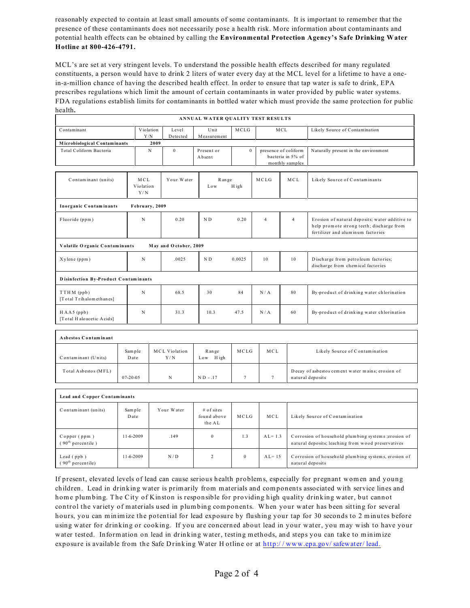reasonably expected to contain at least small amounts of some contaminants. It is important to remember that the presence of these contaminants does not necessarily pose a health risk. More information about contaminants and potential health effects can be obtained by calling the Environmental Protection Agency's Safe Drinking Water Hotline at 800-426-4791.

MCL's are set at very stringent levels. To understand the possible health effects described for many regulated constituents, a person would have to drink 2 liters of water every day at the MCL level for a lifetime to have a onein-a-million chance of having the described health effect. In order to ensure that tap water is safe to drink, EPA prescribes regulations which limit the amount of certain contaminants in water provided by public water systems. FDA regulations establish limits for contaminants in bottled water which must provide the same protection for public health.

| ANNUAL WATER QUALITY TEST RESULTS             |                              |                          |             |                             |                                     |              |                                                              |                                                                      |                                                                                                                                  |
|-----------------------------------------------|------------------------------|--------------------------|-------------|-----------------------------|-------------------------------------|--------------|--------------------------------------------------------------|----------------------------------------------------------------------|----------------------------------------------------------------------------------------------------------------------------------|
| Contaminant                                   |                              | Violation<br>${\rm Y/N}$ |             | Level<br>Detected           | Unit<br>Measurement                 | MCLG         |                                                              | MCL                                                                  | Likely Source of Contamination                                                                                                   |
| Microbiological Contaminants                  |                              |                          | 2009        |                             |                                     |              |                                                              |                                                                      |                                                                                                                                  |
| Total Coliform Bacteria                       |                              |                          | $\mathbf N$ | $\mathbf{0}$                | Present or<br>Absent                | $\mathbf{0}$ | presence of coliform<br>bacteria in 5% of<br>monthly samples |                                                                      | Naturally present in the environment                                                                                             |
| Contaminant (units)                           |                              | MCL<br>Violation<br>Y/N  |             | Your Water                  | Range<br>Low                        | H igh        | MCLG                                                         | MCL                                                                  | Likely Source of Contaminants                                                                                                    |
| Inorganic Contaminants                        |                              | February, 2009           |             |                             |                                     |              |                                                              |                                                                      |                                                                                                                                  |
| Fluoride (ppm)                                |                              | N                        |             | 0.20                        | $\rm N$ D                           | 0.20         | $\overline{4}$                                               | $\overline{4}$                                                       | Erosion of natural deposits; water additive to<br>help promote strong teeth; discharge from<br>fertilizer and aluminum factories |
| Volatile Organic Contaminants                 |                              |                          |             | May and October, 2009       |                                     |              |                                                              |                                                                      |                                                                                                                                  |
| Xylene (ppm)                                  |                              | .0025<br>$_{\rm N}$      |             |                             | $\rm N$ D                           | 0.0025       | 10                                                           | 10                                                                   | Discharge from petroleum factories;<br>discharge from chemical factories                                                         |
| Disinfection By-Product Contaminants          |                              |                          |             |                             |                                     |              |                                                              |                                                                      |                                                                                                                                  |
| TTHM (ppb)<br>[Total Trihalomethanes]         |                              | $_{\rm N}$               |             | 68.5                        | 30                                  | 84           | N/A                                                          | 80                                                                   | By-product of drinking water chlorination                                                                                        |
| $HAA5$ (ppb)<br>[Total Haloacetic Acids]      |                              | $_{\rm N}$               |             | 31.3                        | 10.3                                | 47.5         | N/A                                                          | 60                                                                   | By-product of drinking water chlorination                                                                                        |
|                                               |                              |                          |             |                             |                                     |              |                                                              |                                                                      |                                                                                                                                  |
| Asbestos Contaminant                          |                              |                          |             |                             |                                     |              |                                                              |                                                                      |                                                                                                                                  |
| Contaminant (Units)                           | Sample<br>Date               |                          |             | <b>MCL Violation</b><br>Y/N | Range<br>Low High                   | MCLG         | MCL                                                          |                                                                      | Likely Source of Contamination                                                                                                   |
| Total Asbestos (MFL)<br>$07 - 20 - 05$        |                              |                          | N           | $ND - .17$<br>$\tau$        |                                     | $\tau$       |                                                              | Decay of asbestos cement water mains; erosion of<br>natural deposits |                                                                                                                                  |
|                                               |                              |                          |             |                             |                                     |              |                                                              |                                                                      |                                                                                                                                  |
|                                               | Lead and Copper Contaminants |                          |             |                             |                                     |              |                                                              |                                                                      |                                                                                                                                  |
| Contaminant (units)                           | Sample<br>Date               |                          |             | Your Water                  | # of sites<br>found above<br>the AL | MCLG         | MCL                                                          |                                                                      | Likely Source of Contamination                                                                                                   |
| Copper (ppm)<br>(90 <sup>th</sup> percentile) | 11-6-2009                    |                          |             | .149                        | $\boldsymbol{0}$                    | 1.3          | $AL = 1.3$                                                   |                                                                      | Corrosion of household plumbing systems ; erosion of<br>natural deposits; leaching from wood preservatives                       |
| Lead $(ppb)$<br>(90 <sup>th</sup> percentile) | 11-6-2009                    |                          |             | N/D                         | $\overline{c}$                      | $\mathbf{0}$ | $AL = 15$                                                    |                                                                      | Corrosion of household plumbing systems, erosion of<br>natural deposits                                                          |

If present, elevated levels of lead can cause serious health problems, especially for pregnant women and young children. Lead in drinking water is primarily from materials and components associated with service lines and home plumbing. The City of Kinston is responsible for providing high quality drinking water, but cannot control the variety of materials used in plumbing components. When your water has been sitting for several hours, you can minimize the potential for lead exposure by flushing your tap for 30 seconds to 2 minutes before using water for drinking or cooking. If you are concerned about lead in your water, you may wish to have your water tested. Information on lead in drinking water, testing methods, and steps you can take to minimize exposure is available from the Safe Drinking Water Hotline or at http://www.epa.gov/safewater/lead.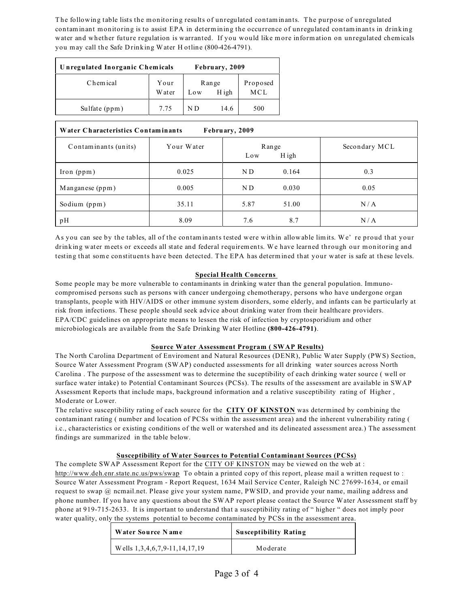The following table lists the monitoring results of unregulated contaminants. The purpose of unregulated contaminant monitoring is to assist EPA in determining the occurrence of unregulated contaminants in drinking water and whether future regulation is warranted. If you would like more information on unregulated chemicals you may call the Safe Drinking Water Hotline (800-426-4791).

| Unregulated Inorganic Chemicals | February, 2009  |                       |      |                 |
|---------------------------------|-----------------|-----------------------|------|-----------------|
| Chemical                        | Your<br>W at er | Range<br>H igh<br>Low |      | Proposed<br>MCL |
| Sulfate (ppm)                   | 7.75            | N D                   | 14.6 | 500             |

| Water Characteristics Contaminants<br>February, 2009 |            |      |                |               |  |  |  |
|------------------------------------------------------|------------|------|----------------|---------------|--|--|--|
| Contaminants (units)                                 | Your Water | Low  | Range<br>H igh | Secondary MCL |  |  |  |
| $\lceil \text{ron (ppm)} \rceil$                     | 0.025      | ND.  | 0.164          | 0.3           |  |  |  |
| Manganese (ppm)                                      | 0.005      | ND.  | 0.030          | 0.05          |  |  |  |
| Sodium (ppm)                                         | 35.11      | 5.87 | 51.00          | N/A           |  |  |  |
| pH                                                   | 8.09       | 7.6  | 8.7            | N/A           |  |  |  |

As you can see by the tables, all of the contaminants tested were within allowable limits. We' re proud that your drinking water meets or exceeds all state and federal requirements. We have learned through our monitoring and testing that some constituents have been detected. The EPA has determined that your water is safe at these levels.

# **Special Health Concerns**

Some people may be more vulnerable to contaminants in drinking water than the general population. Immunocompromised persons such as persons with cancer undergoing chemotherapy, persons who have undergone organ transplants, people with HIV/AIDS or other immune system disorders, some elderly, and infants can be particularly at risk from infections. These people should seek advice about drinking water from their healthcare providers. EPA/CDC guidelines on appropriate means to lessen the risk of infection by cryptosporidium and other microbiologicals are available from the Safe Drinking Water Hotline **(800-426-4791)**.

# **Source Water Assessment Program ( SWAP Results)**

The North Carolina Department of Enviroment and Natural Resources (DENR), Public Water Supply (PWS) Section, Source Water Assessment Program (SWAP) conducted assessments for all drinking water sources across North Carolina . The purpose of the assessment was to determine the suceptibility of each drinking water source ( well or surface water intake) to Potential Contaminant Sources (PCSs). The results of the assessment are available in SWAP Assessment Reports that include maps, background information and a relative susceptibility rating of Higher , Moderate or Lower.

The relative susceptibility rating of each source for the **CITY OF KINSTON** was determined by combining the contaminant rating ( number and location of PCSs within the assessment area) and the inherent vulnerability rating ( i.c., characteristics or existing conditions of the well or watershed and its delineated assessment area.) The assessment findings are summarized in the table below.

# **Susceptibility of Water Sources to Potential Contaminant Sources (PCSs)**

The complete SWAP Assessment Report for the CITY OF KINSTON may be viewed on the web at : <http://www.deh.enr.state.nc.us/pws/swap> To obtain a printed copy of this report, please mail a written request to : Source Water Assessment Program - Report Request, 1634 Mail Service Center, Raleigh NC 27699-1634, or email request to swap @ ncmail.net. Please give your system name, PWSID, and provide your name, mailing address and phone number. If you have any questions about the SWAP report please contact the Source Water Assessment staff by phone at 919-715-2633. It is important to understand that a susceptibility rating of " higher " does not imply poor water quality, only the systems potential to become contaminated by PCSs in the assessment area.

| Water Source Name               | <b>Susceptibility Rating</b> |
|---------------------------------|------------------------------|
| Wells $1,3,4,6,7,9-11,14,17,19$ | Moderate                     |